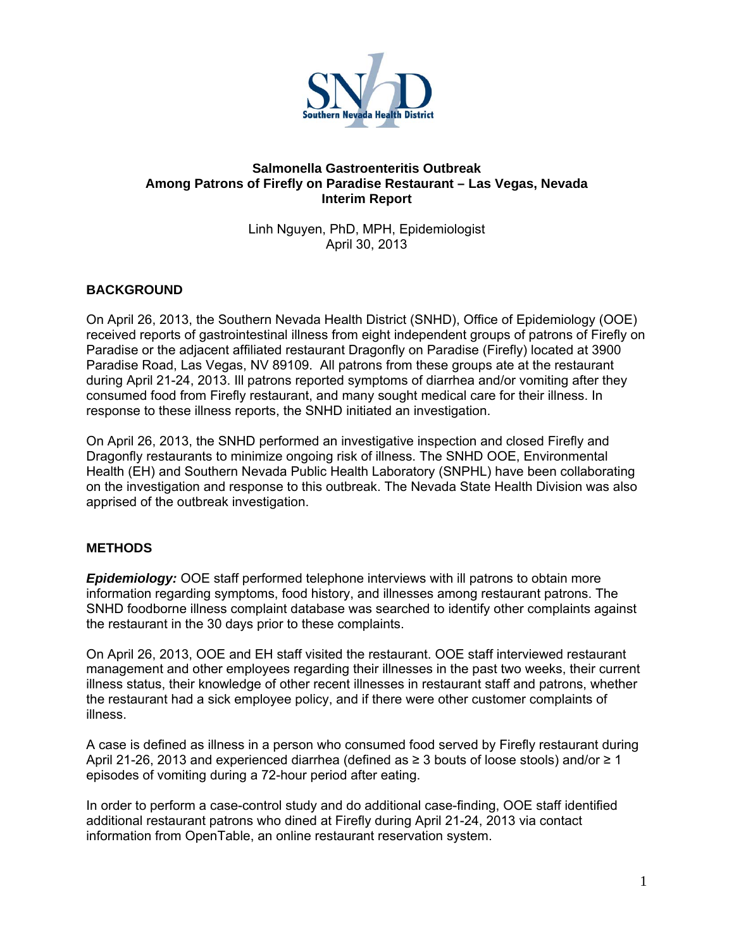

## **Salmonella Gastroenteritis Outbreak Among Patrons of Firefly on Paradise Restaurant – Las Vegas, Nevada Interim Report**

Linh Nguyen, PhD, MPH, Epidemiologist April 30, 2013

# **BACKGROUND**

On April 26, 2013, the Southern Nevada Health District (SNHD), Office of Epidemiology (OOE) received reports of gastrointestinal illness from eight independent groups of patrons of Firefly on Paradise or the adjacent affiliated restaurant Dragonfly on Paradise (Firefly) located at 3900 Paradise Road, Las Vegas, NV 89109. All patrons from these groups ate at the restaurant during April 21-24, 2013. Ill patrons reported symptoms of diarrhea and/or vomiting after they consumed food from Firefly restaurant, and many sought medical care for their illness. In response to these illness reports, the SNHD initiated an investigation.

On April 26, 2013, the SNHD performed an investigative inspection and closed Firefly and Dragonfly restaurants to minimize ongoing risk of illness. The SNHD OOE, Environmental Health (EH) and Southern Nevada Public Health Laboratory (SNPHL) have been collaborating on the investigation and response to this outbreak. The Nevada State Health Division was also apprised of the outbreak investigation.

## **METHODS**

*Epidemiology:* OOE staff performed telephone interviews with ill patrons to obtain more information regarding symptoms, food history, and illnesses among restaurant patrons. The SNHD foodborne illness complaint database was searched to identify other complaints against the restaurant in the 30 days prior to these complaints.

On April 26, 2013, OOE and EH staff visited the restaurant. OOE staff interviewed restaurant management and other employees regarding their illnesses in the past two weeks, their current illness status, their knowledge of other recent illnesses in restaurant staff and patrons, whether the restaurant had a sick employee policy, and if there were other customer complaints of illness.

A case is defined as illness in a person who consumed food served by Firefly restaurant during April 21-26, 2013 and experienced diarrhea (defined as ≥ 3 bouts of loose stools) and/or ≥ 1 episodes of vomiting during a 72-hour period after eating.

In order to perform a case-control study and do additional case-finding, OOE staff identified additional restaurant patrons who dined at Firefly during April 21-24, 2013 via contact information from OpenTable, an online restaurant reservation system.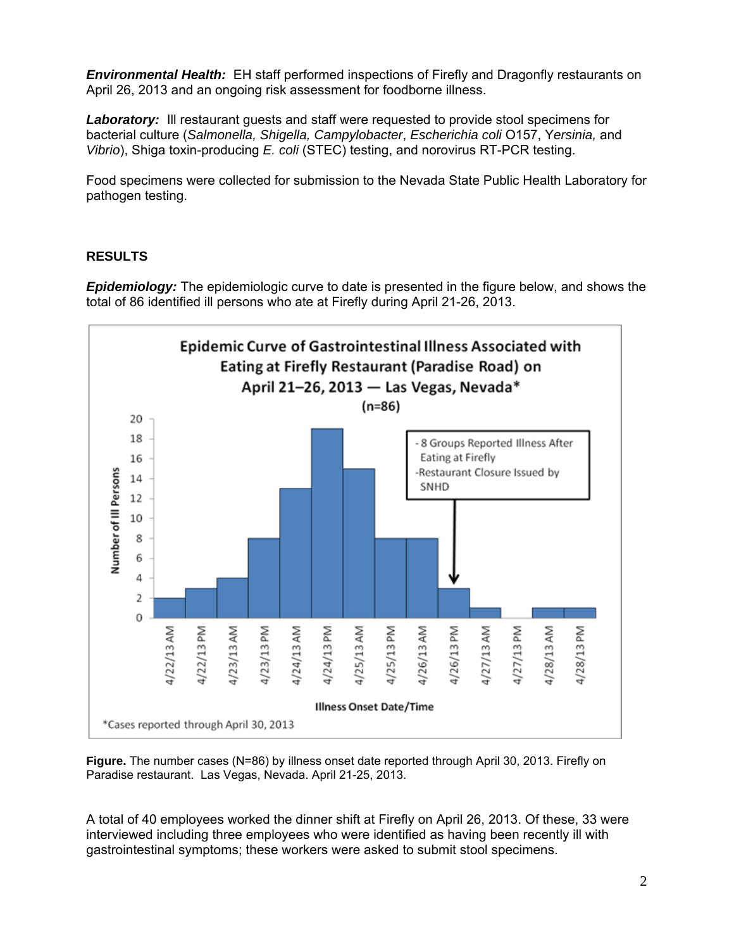*Environmental Health:* EH staff performed inspections of Firefly and Dragonfly restaurants on April 26, 2013 and an ongoing risk assessment for foodborne illness.

**Laboratory:** Ill restaurant guests and staff were requested to provide stool specimens for bacterial culture (*Salmonella, Shigella, Campylobacter*, *Escherichia coli* O157, Y*ersinia,* and *Vibrio*), Shiga toxin-producing *E. coli* (STEC) testing, and norovirus RT-PCR testing.

Food specimens were collected for submission to the Nevada State Public Health Laboratory for pathogen testing.

# **RESULTS**

*Epidemiology:* The epidemiologic curve to date is presented in the figure below, and shows the total of 86 identified ill persons who ate at Firefly during April 21-26, 2013.



**Figure.** The number cases (N=86) by illness onset date reported through April 30, 2013. Firefly on Paradise restaurant. Las Vegas, Nevada. April 21-25, 2013.

A total of 40 employees worked the dinner shift at Firefly on April 26, 2013. Of these, 33 were interviewed including three employees who were identified as having been recently ill with gastrointestinal symptoms; these workers were asked to submit stool specimens.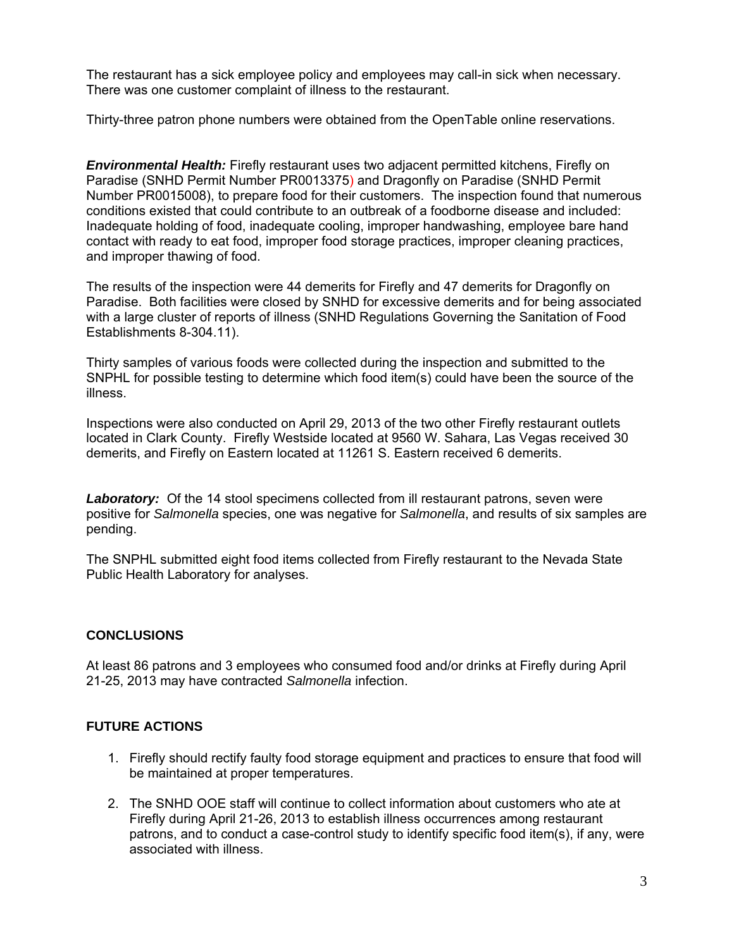The restaurant has a sick employee policy and employees may call-in sick when necessary. There was one customer complaint of illness to the restaurant.

Thirty-three patron phone numbers were obtained from the OpenTable online reservations.

*Environmental Health:* Firefly restaurant uses two adjacent permitted kitchens, Firefly on Paradise (SNHD Permit Number PR0013375) and Dragonfly on Paradise (SNHD Permit Number PR0015008), to prepare food for their customers. The inspection found that numerous conditions existed that could contribute to an outbreak of a foodborne disease and included: Inadequate holding of food, inadequate cooling, improper handwashing, employee bare hand contact with ready to eat food, improper food storage practices, improper cleaning practices, and improper thawing of food.

The results of the inspection were 44 demerits for Firefly and 47 demerits for Dragonfly on Paradise. Both facilities were closed by SNHD for excessive demerits and for being associated with a large cluster of reports of illness (SNHD Regulations Governing the Sanitation of Food Establishments 8-304.11).

Thirty samples of various foods were collected during the inspection and submitted to the SNPHL for possible testing to determine which food item(s) could have been the source of the illness.

Inspections were also conducted on April 29, 2013 of the two other Firefly restaurant outlets located in Clark County. Firefly Westside located at 9560 W. Sahara, Las Vegas received 30 demerits, and Firefly on Eastern located at 11261 S. Eastern received 6 demerits.

**Laboratory:** Of the 14 stool specimens collected from ill restaurant patrons, seven were positive for *Salmonella* species, one was negative for *Salmonella*, and results of six samples are pending.

The SNPHL submitted eight food items collected from Firefly restaurant to the Nevada State Public Health Laboratory for analyses.

## **CONCLUSIONS**

At least 86 patrons and 3 employees who consumed food and/or drinks at Firefly during April 21-25, 2013 may have contracted *Salmonella* infection.

## **FUTURE ACTIONS**

- 1. Firefly should rectify faulty food storage equipment and practices to ensure that food will be maintained at proper temperatures.
- 2. The SNHD OOE staff will continue to collect information about customers who ate at Firefly during April 21-26, 2013 to establish illness occurrences among restaurant patrons, and to conduct a case-control study to identify specific food item(s), if any, were associated with illness.